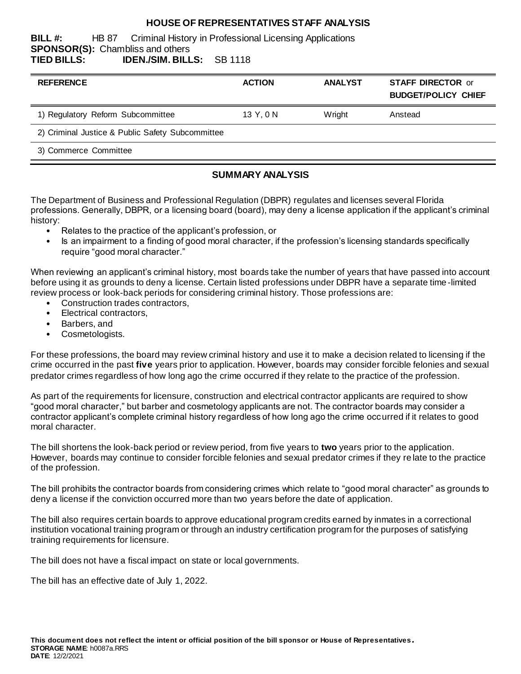#### **HOUSE OF REPRESENTATIVES STAFF ANALYSIS**

**BILL #:** HB 87 Criminal History in Professional Licensing Applications **SPONSOR(S):** Chambliss and others **TIED BILLS: IDEN./SIM. BILLS:** SB 1118

| <b>REFERENCE</b>                                 | <b>ACTION</b> | <b>ANALYST</b> | <b>STAFF DIRECTOR or</b><br><b>BUDGET/POLICY CHIEF</b> |
|--------------------------------------------------|---------------|----------------|--------------------------------------------------------|
| 1) Regulatory Reform Subcommittee                | 13 Y, 0 N     | Wright         | Anstead                                                |
| 2) Criminal Justice & Public Safety Subcommittee |               |                |                                                        |
| 3) Commerce Committee                            |               |                |                                                        |
|                                                  |               |                |                                                        |

#### **SUMMARY ANALYSIS**

The Department of Business and Professional Regulation (DBPR) regulates and licenses several Florida professions. Generally, DBPR, or a licensing board (board), may deny a license application if the applicant's criminal history:

- Relates to the practice of the applicant's profession, or
- Is an impairment to a finding of good moral character, if the profession's licensing standards specifically require "good moral character."

When reviewing an applicant's criminal history, most boards take the number of years that have passed into account before using it as grounds to deny a license. Certain listed professions under DBPR have a separate time -limited review process or look-back periods for considering criminal history. Those professions are:

- Construction trades contractors,
- Electrical contractors,
- Barbers, and
- Cosmetologists.

For these professions, the board may review criminal history and use it to make a decision related to licensing if the crime occurred in the past **five** years prior to application. However, boards may consider forcible felonies and sexual predator crimes regardless of how long ago the crime occurred if they relate to the practice of the profession.

As part of the requirements for licensure, construction and electrical contractor applicants are required to show "good moral character," but barber and cosmetology applicants are not. The contractor boards may consider a contractor applicant's complete criminal history regardless of how long ago the crime occurred if it relates to good moral character.

The bill shortens the look-back period or review period, from five years to **two** years prior to the application. However, boards may continue to consider forcible felonies and sexual predator crimes if they re late to the practice of the profession.

The bill prohibits the contractor boards from considering crimes which relate to "good moral character" as grounds to deny a license if the conviction occurred more than two years before the date of application.

The bill also requires certain boards to approve educational program credits earned by inmates in a correctional institution vocational training program or through an industry certification program for the purposes of satisfying training requirements for licensure.

The bill does not have a fiscal impact on state or local governments.

The bill has an effective date of July 1, 2022.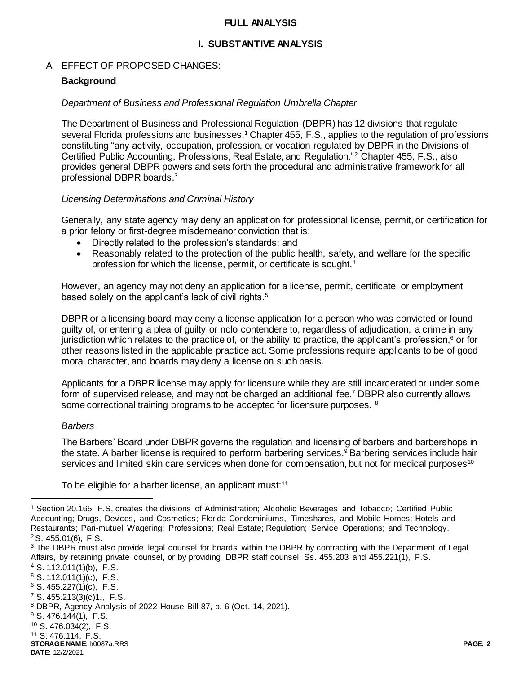#### **FULL ANALYSIS**

#### **I. SUBSTANTIVE ANALYSIS**

#### A. EFFECT OF PROPOSED CHANGES:

#### **Background**

#### *Department of Business and Professional Regulation Umbrella Chapter*

The Department of Business and Professional Regulation (DBPR) has 12 divisions that regulate several Florida professions and businesses.<sup>1</sup> Chapter 455, F.S., applies to the regulation of professions constituting "any activity, occupation, profession, or vocation regulated by DBPR in the Divisions of Certified Public Accounting, Professions, Real Estate, and Regulation."<sup>2</sup> Chapter 455, F.S., also provides general DBPR powers and sets forth the procedural and administrative framework for all professional DBPR boards. 3

#### *Licensing Determinations and Criminal History*

Generally, any state agency may deny an application for professional license, permit, or certification for a prior felony or first-degree misdemeanor conviction that is:

- Directly related to the profession's standards; and
- Reasonably related to the protection of the public health, safety, and welfare for the specific profession for which the license, permit, or certificate is sought.<sup>4</sup>

However, an agency may not deny an application for a license, permit, certificate, or employment based solely on the applicant's lack of civil rights.<sup>5</sup>

DBPR or a licensing board may deny a license application for a person who was convicted or found guilty of, or entering a plea of guilty or nolo contendere to, regardless of adjudication, a crime in any jurisdiction which relates to the practice of, or the ability to practice, the applicant's profession, $6$  or for other reasons listed in the applicable practice act. Some professions require applicants to be of good moral character, and boards may deny a license on such basis.

Applicants for a DBPR license may apply for licensure while they are still incarcerated or under some form of supervised release, and may not be charged an additional fee.<sup>7</sup> DBPR also currently allows some correctional training programs to be accepted for licensure purposes. <sup>8</sup>

#### *Barbers*

 $\overline{a}$ 

The Barbers' Board under DBPR governs the regulation and licensing of barbers and barbershops in the state. A barber license is required to perform barbering services.<sup>9</sup> Barbering services include hair services and limited skin care services when done for compensation, but not for medical purposes<sup>10</sup>

To be eligible for a barber license, an applicant must: $11$ 

 S. 112.011(1)(b), F.S. S. 112.011(1)(c), F.S. S. 455.227(1)(c), F.S. S. 455.213(3)(c)1., F.S. DBPR, Agency Analysis of 2022 House Bill 87, p. 6 (Oct. 14, 2021). S. 476.144(1), F.S.

<sup>10</sup> S. 476.034(2), F.S.

<sup>11</sup> S. 476.114, F.S.

**STORAGE NAME**: h0087a.RRS **PAGE: 2**

**DATE**: 12/2/2021

<sup>1</sup> Section 20.165, F.S, creates the divisions of Administration; Alcoholic Beverages and Tobacco; Certified Public Accounting; Drugs, Devices, and Cosmetics; Florida Condominiums, Timeshares, and Mobile Homes; Hotels and Restaurants; Pari-mutuel Wagering; Professions; Real Estate; Regulation; Service Operations; and Technology. <sup>2</sup>S. 455.01(6), F.S.

<sup>&</sup>lt;sup>3</sup> The DBPR must also provide legal counsel for boards within the DBPR by contracting with the Department of Legal Affairs, by retaining private counsel, or by providing DBPR staff counsel. Ss. 455.203 and 455.221(1), F.S.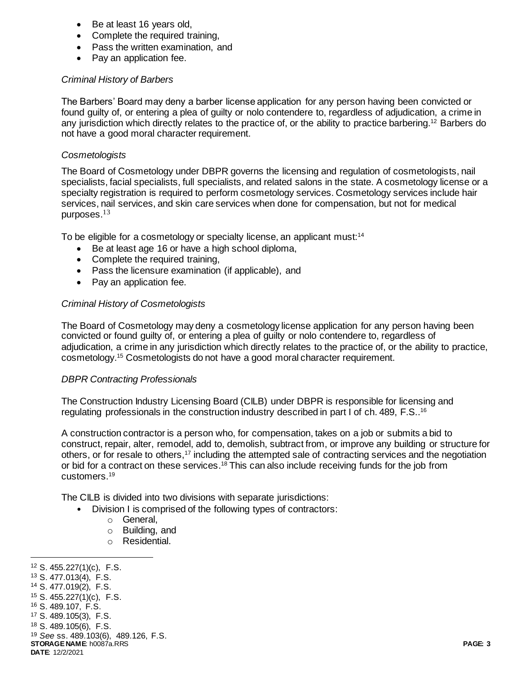- Be at least 16 years old,
- Complete the required training,
- Pass the written examination, and
- Pay an application fee.

## *Criminal History of Barbers*

The Barbers' Board may deny a barber license application for any person having been convicted or found guilty of, or entering a plea of guilty or nolo contendere to, regardless of adjudication, a crime in any jurisdiction which directly relates to the practice of, or the ability to practice barbering. <sup>12</sup> Barbers do not have a good moral character requirement.

### *Cosmetologists*

The Board of Cosmetology under DBPR governs the licensing and regulation of cosmetologists, nail specialists, facial specialists, full specialists, and related salons in the state. A cosmetology license or a specialty registration is required to perform cosmetology services. Cosmetology services include hair services, nail services, and skin care services when done for compensation, but not for medical purposes.<sup>13</sup>

To be eligible for a cosmetology or specialty license, an applicant must:<sup>14</sup>

- Be at least age 16 or have a high school diploma,
- Complete the required training,
- Pass the licensure examination (if applicable), and
- Pay an application fee.

## *Criminal History of Cosmetologists*

The Board of Cosmetology may deny a cosmetology license application for any person having been convicted or found guilty of, or entering a plea of guilty or nolo contendere to, regardless of adjudication, a crime in any jurisdiction which directly relates to the practice of, or the ability to practice, cosmetology. <sup>15</sup> Cosmetologists do not have a good moral character requirement.

#### *DBPR Contracting Professionals*

The Construction Industry Licensing Board (CILB) under DBPR is responsible for licensing and regulating professionals in the construction industry described in part I of ch. 489, F.S.. 16

A construction contractor is a person who, for compensation, takes on a job or submits a bid to construct, repair, alter, remodel, add to, demolish, subtract from, or improve any building or structure for others, or for resale to others,<sup>17</sup> including the attempted sale of contracting services and the negotiation or bid for a contract on these services.<sup>18</sup> This can also include receiving funds for the job from customers.<sup>19</sup>

The CILB is divided into two divisions with separate jurisdictions:

- Division I is comprised of the following types of contractors:
	- o General,
	- o Building, and
	- o Residential.

<sup>12</sup> S. 455.227(1)(c), F.S.

<sup>13</sup> S. 477.013(4), F.S.

l

- <sup>14</sup> S. 477.019(2), F.S.
- <sup>15</sup> S. 455.227(1)(c), F.S.

<sup>16</sup> S. 489.107, F.S.

<sup>17</sup> S. 489.105(3), F.S.

<sup>18</sup> S. 489.105(6), F.S.

**STORAGE NAME**: h0087a.RRS **PAGE: 3** <sup>19</sup> *See* ss. 489.103(6), 489.126, F.S.

**DATE**: 12/2/2021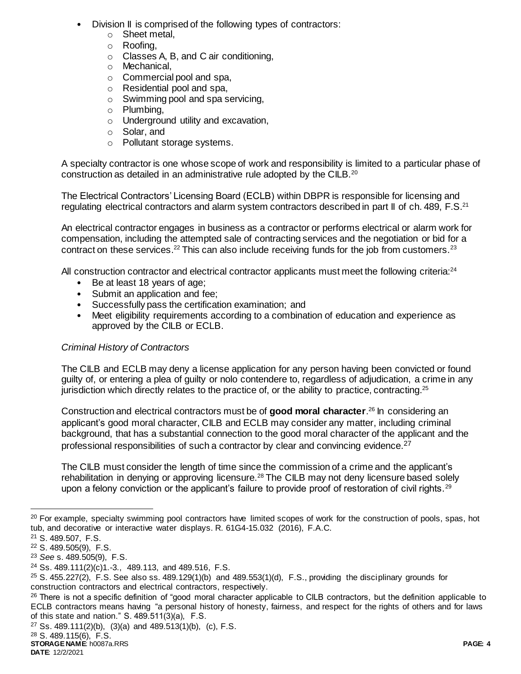- Division II is comprised of the following types of contractors:
	- o Sheet metal,
	- o Roofing,
	- o Classes A, B, and C air conditioning,
	- o Mechanical,
	- o Commercial pool and spa,
	- o Residential pool and spa,
	- $\circ$  Swimming pool and spa servicing,
	- o Plumbing,
	- o Underground utility and excavation,
	- o Solar, and
	- o Pollutant storage systems.

A specialty contractor is one whose scope of work and responsibility is limited to a particular phase of construction as detailed in an administrative rule adopted by the CILB.<sup>20</sup>

The Electrical Contractors' Licensing Board (ECLB) within DBPR is responsible for licensing and regulating electrical contractors and alarm system contractors described in part II of ch. 489, F.S. $^{21}$ 

An electrical contractor engages in business as a contractor or performs electrical or alarm work for compensation, including the attempted sale of contracting services and the negotiation or bid for a contract on these services.<sup>22</sup> This can also include receiving funds for the job from customers.<sup>23</sup>

All construction contractor and electrical contractor applicants must meet the following criteria:<sup>24</sup>

- Be at least 18 years of age:
- Submit an application and fee;
- Successfully pass the certification examination; and
- Meet eligibility requirements according to a combination of education and experience as approved by the CILB or ECLB.

# *Criminal History of Contractors*

The CILB and ECLB may deny a license application for any person having been convicted or found guilty of, or entering a plea of guilty or nolo contendere to, regardless of adjudication, a crime in any jurisdiction which directly relates to the practice of, or the ability to practice, contracting.<sup>25</sup>

Construction and electrical contractors must be of **good moral character**. <sup>26</sup> In considering an applicant's good moral character, CILB and ECLB may consider any matter, including criminal background, that has a substantial connection to the good moral character of the applicant and the professional responsibilities of such a contractor by clear and convincing evidence.<sup>27</sup>

The CILB must consider the length of time since the commission of a crime and the applicant's rehabilitation in denying or approving licensure.<sup>28</sup> The CILB may not deny licensure based solely upon a felony conviction or the applicant's failure to provide proof of restoration of civil rights.<sup>29</sup>

 $\overline{a}$ 

<sup>&</sup>lt;sup>20</sup> For example, specialty swimming pool contractors have limited scopes of work for the construction of pools, spas, hot tub, and decorative or interactive water displays. R. 61G4-15.032 (2016), F.A.C.

<sup>21</sup> S. 489.507, F.S.

<sup>22</sup> S. 489.505(9), F.S.

<sup>23</sup> *See* s. 489.505(9), F.S.

<sup>24</sup> Ss. 489.111(2)(c)1.-3., 489.113, and 489.516, F.S.

 $25$  S. 455.227(2), F.S. See also ss. 489.129(1)(b) and 489.553(1)(d), F.S., providing the disciplinary grounds for construction contractors and electrical contractors, respectively.

<sup>&</sup>lt;sup>26</sup> There is not a specific definition of "good moral character applicable to CILB contractors, but the definition applicable to ECLB contractors means having "a personal history of honesty, fairness, and respect for the rights of others and for laws of this state and nation." S. 489.511(3)(a), F.S.

<sup>27</sup> Ss. 489.111(2)(b), (3)(a) and 489.513(1)(b), (c), F.S.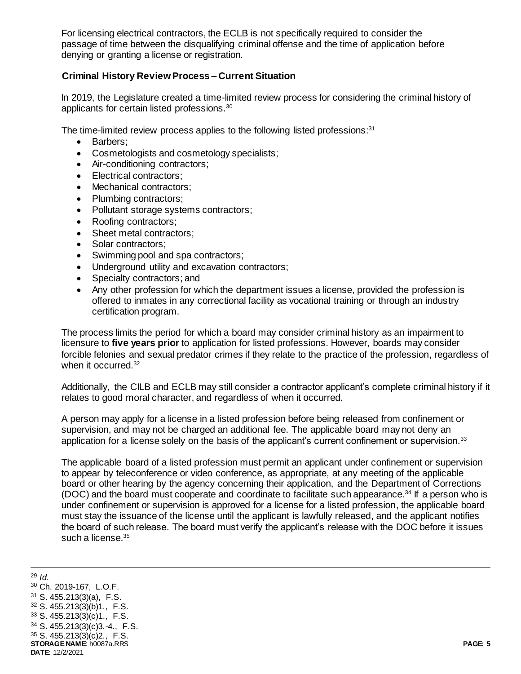For licensing electrical contractors, the ECLB is not specifically required to consider the passage of time between the disqualifying criminal offense and the time of application before denying or granting a license or registration.

## **Criminal History Review Process – Current Situation**

In 2019, the Legislature created a time-limited review process for considering the criminal history of applicants for certain listed professions.<sup>30</sup>

The time-limited review process applies to the following listed professions:<sup>31</sup>

- Barbers;
- Cosmetologists and cosmetology specialists;
- Air-conditioning contractors;
- Electrical contractors:
- Mechanical contractors:
- Plumbing contractors:
- Pollutant storage systems contractors;
- Roofing contractors:
- Sheet metal contractors;
- Solar contractors;
- Swimming pool and spa contractors;
- Underground utility and excavation contractors;
- Specialty contractors; and
- Any other profession for which the department issues a license, provided the profession is offered to inmates in any correctional facility as vocational training or through an industry certification program.

The process limits the period for which a board may consider criminal history as an impairment to licensure to **five years prior** to application for listed professions. However, boards may consider forcible felonies and sexual predator crimes if they relate to the practice of the profession, regardless of when it occurred.<sup>32</sup>

Additionally, the CILB and ECLB may still consider a contractor applicant's complete criminal history if it relates to good moral character, and regardless of when it occurred.

A person may apply for a license in a listed profession before being released from confinement or supervision, and may not be charged an additional fee. The applicable board may not deny an application for a license solely on the basis of the applicant's current confinement or supervision. $33$ 

The applicable board of a listed profession must permit an applicant under confinement or supervision to appear by teleconference or video conference, as appropriate, at any meeting of the applicable board or other hearing by the agency concerning their application, and the Department of Corrections (DOC) and the board must cooperate and coordinate to facilitate such appearance.<sup>34</sup> If a person who is under confinement or supervision is approved for a license for a listed profession, the applicable board must stay the issuance of the license until the applicant is lawfully released, and the applicant notifies the board of such release. The board must verify the applicant's release with the DOC before it issues such a license.<sup>35</sup>

**STORAGE NAME**: h0087a.RRS **PAGE: 5 DATE**: 12/2/2021 <sup>29</sup> *Id*. Ch. 2019-167, L.O.F. S. 455.213(3)(a), F.S. S. 455.213(3)(b)1., F.S. S. 455.213(3)(c)1., F.S. S. 455.213(3)(c)3.-4., F.S. S. 455.213(3)(c)2., F.S.

l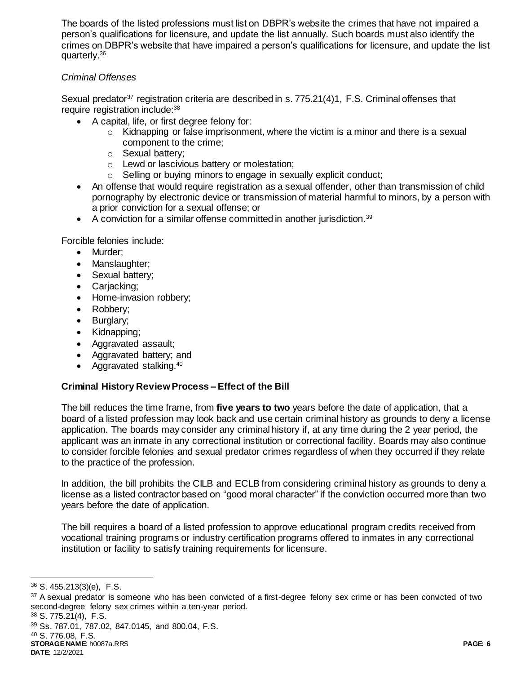The boards of the listed professions must list on DBPR's website the crimes that have not impaired a person's qualifications for licensure, and update the list annually. Such boards must also identify the crimes on DBPR's website that have impaired a person's qualifications for licensure, and update the list quarterly. 36

## *Criminal Offenses*

Sexual predator<sup>37</sup> registration criteria are described in s. 775.21(4)1, F.S. Criminal offenses that require registration include: 38

- A capital, life, or first degree felony for:
	- $\circ$  Kidnapping or false imprisonment, where the victim is a minor and there is a sexual component to the crime;
	- o Sexual battery;
	- o Lewd or lascivious battery or molestation;
	- o Selling or buying minors to engage in sexually explicit conduct;
- An offense that would require registration as a sexual offender, other than transmission of child pornography by electronic device or transmission of material harmful to minors, by a person with a prior conviction for a sexual offense; or
- $\bullet$  A conviction for a similar offense committed in another jurisdiction.<sup>39</sup>

Forcible felonies include:

- Murder;
- Manslaughter;
- Sexual battery;
- Carjacking;
- Home-invasion robbery;
- Robbery;
- Burglary;
- Kidnapping;
- Aggravated assault;
- Aggravated battery; and
- Aggravated stalking. $40$

## **Criminal History Review Process – Effect of the Bill**

The bill reduces the time frame, from **five years to two** years before the date of application, that a board of a listed profession may look back and use certain criminal history as grounds to deny a license application. The boards may consider any criminal history if, at any time during the 2 year period, the applicant was an inmate in any correctional institution or correctional facility. Boards may also continue to consider forcible felonies and sexual predator crimes regardless of when they occurred if they relate to the practice of the profession.

In addition, the bill prohibits the CILB and ECLB from considering criminal history as grounds to deny a license as a listed contractor based on "good moral character" if the conviction occurred more than two years before the date of application.

The bill requires a board of a listed profession to approve educational program credits received from vocational training programs or industry certification programs offered to inmates in any correctional institution or facility to satisfy training requirements for licensure.

j

<sup>38</sup> S. 775.21(4), F.S.

<sup>39</sup> Ss. 787.01, 787.02, 847.0145, and 800.04, F.S. <sup>40</sup> S. 776.08, F.S.

<sup>36</sup> S. 455.213(3)(e), F.S.

<sup>&</sup>lt;sup>37</sup> A sexual predator is someone who has been convicted of a first-degree felony sex crime or has been convicted of two second-degree felony sex crimes within a ten-year period.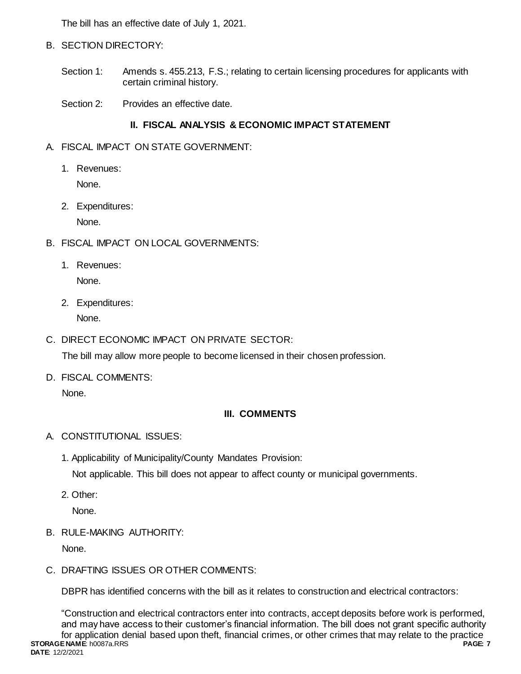The bill has an effective date of July 1, 2021.

- B. SECTION DIRECTORY:
	- Section 1: Amends s. 455.213, F.S.; relating to certain licensing procedures for applicants with certain criminal history.
	- Section 2: Provides an effective date.

# **II. FISCAL ANALYSIS & ECONOMIC IMPACT STATEMENT**

- A. FISCAL IMPACT ON STATE GOVERNMENT:
	- 1. Revenues:

None.

2. Expenditures:

None.

- B. FISCAL IMPACT ON LOCAL GOVERNMENTS:
	- 1. Revenues: None.
	- 2. Expenditures:

None.

C. DIRECT ECONOMIC IMPACT ON PRIVATE SECTOR:

The bill may allow more people to become licensed in their chosen profession.

D. FISCAL COMMENTS:

None.

# **III. COMMENTS**

- A. CONSTITUTIONAL ISSUES:
	- 1. Applicability of Municipality/County Mandates Provision:

Not applicable. This bill does not appear to affect county or municipal governments.

2. Other:

None.

B. RULE-MAKING AUTHORITY:

None.

C. DRAFTING ISSUES OR OTHER COMMENTS:

DBPR has identified concerns with the bill as it relates to construction and electrical contractors:

**STORAGE NAME**: h0087a.RRS **PAGE: 7 DATE**: 12/2/2021 "Construction and electrical contractors enter into contracts, accept deposits before work is performed, and may have access to their customer's financial information. The bill does not grant specific authority for application denial based upon theft, financial crimes, or other crimes that may relate to the practice